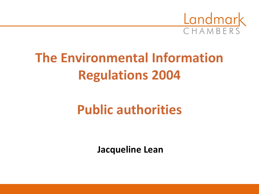

## **The Environmental Information Regulations 2004**

### **Public authorities**

**Jacqueline Lean**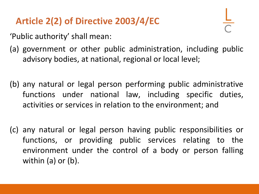#### **Article 2(2) of Directive 2003/4/EC**

'Public authority' shall mean:

- (a) government or other public administration, including public advisory bodies, at national, regional or local level;
- (b) any natural or legal person performing public administrative functions under national law, including specific duties, activities or services in relation to the environment; and
- (c) any natural or legal person having public responsibilities or functions, or providing public services relating to the environment under the control of a body or person falling within (a) or (b).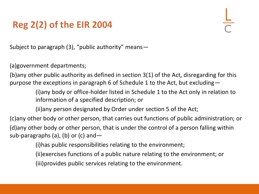#### **Reg 2(2) of the EIR 2004**

Subject to paragraph (3), "public authority" means—

(a)government departments;

(b)any other public authority as defined in section 3(1) of the Act, disregarding for this purpose the exceptions in paragraph 6 of Schedule 1 to the Act, but excluding—

> (i)any body or office-holder listed in Schedule 1 to the Act only in relation to information of a specified description; or

(ii)any person designated by Order under section 5 of the Act;

(c)any other body or other person, that carries out functions of public administration; or (d)any other body or other person, that is under the control of a person falling within sub-paragraphs (a), (b) or (c) and  $-$ 

(i)has public responsibilities relating to the environment;

(ii)exercises functions of a public nature relating to the environment; or

(iii)provides public services relating to the environment.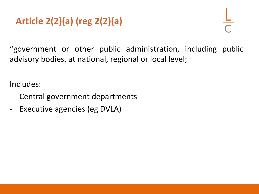#### **Article 2(2)(a) (reg 2(2)(a)**

"government or other public administration, including public advisory bodies, at national, regional or local level;

Includes:

- Central government departments
- Executive agencies (eg DVLA)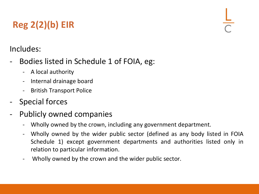### **Reg 2(2)(b) EIR**

#### Includes:

- Bodies listed in Schedule 1 of FOIA, eg:
	- A local authority
	- Internal drainage board
	- British Transport Police
- Special forces
- Publicly owned companies
	- Wholly owned by the crown, including any government department.
	- Wholly owned by the wider public sector (defined as any body listed in FOIA Schedule 1) except government departments and authorities listed only in relation to particular information.
	- Wholly owned by the crown and the wider public sector.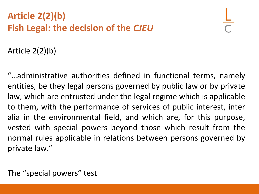#### **Article 2(2)(b) Fish Legal: the decision of the** *CJEU*

Article 2(2)(b)

"…administrative authorities defined in functional terms, namely entities, be they legal persons governed by public law or by private law, which are entrusted under the legal regime which is applicable to them, with the performance of services of public interest, inter alia in the environmental field, and which are, for this purpose, vested with special powers beyond those which result from the normal rules applicable in relations between persons governed by private law."

The "special powers" test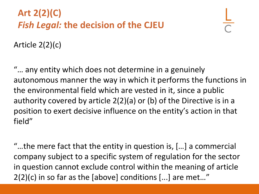#### **Art 2(2)(C)** *Fish Legal:* **the decision of the CJEU**

Article 2(2)(c)

"… any entity which does not determine in a genuinely autonomous manner the way in which it performs the functions in the environmental field which are vested in it, since a public authority covered by article 2(2)(a) or (b) of the Directive is in a position to exert decisive influence on the entity's action in that field"

"…the mere fact that the entity in question is, […] a commercial company subject to a specific system of regulation for the sector in question cannot exclude control within the meaning of article 2(2)(c) in so far as the [above] conditions [...] are met…"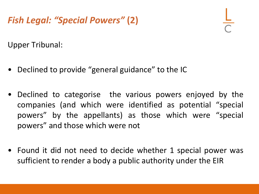#### *Fish Legal: "Special Powers"* **(2)**

Upper Tribunal:

- Declined to provide "general guidance" to the IC
- Declined to categorise the various powers enjoyed by the companies (and which were identified as potential "special powers" by the appellants) as those which were "special powers" and those which were not
- Found it did not need to decide whether 1 special power was sufficient to render a body a public authority under the EIR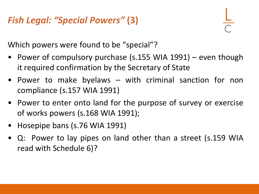#### *Fish Legal: "Special Powers"* **(3)**



Which powers were found to be "special"?

- Power of compulsory purchase (s.155 WIA 1991) even though it required confirmation by the Secretary of State
- Power to make byelaws with criminal sanction for non compliance (s.157 WIA 1991)
- Power to enter onto land for the purpose of survey or exercise of works powers (s.168 WIA 1991);
- Hosepipe bans (s.76 WIA 1991)
- Q: Power to lay pipes on land other than a street (s.159 WIA read with Schedule 6)?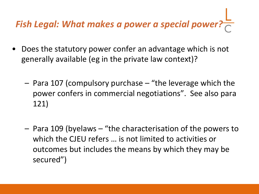# *Fish Legal: What makes a power a special power?*

- Does the statutory power confer an advantage which is not generally available (eg in the private law context)?
	- Para 107 (compulsory purchase "the leverage which the power confers in commercial negotiations". See also para 121)
	- Para 109 (byelaws "the characterisation of the powers to which the CJEU refers … is not limited to activities or outcomes but includes the means by which they may be secured")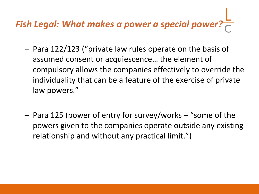# *Fish Legal: What makes a power a special power?*

- Para 122/123 ("private law rules operate on the basis of assumed consent or acquiescence… the element of compulsory allows the companies effectively to override the individuality that can be a feature of the exercise of private law powers."
- Para 125 (power of entry for survey/works "some of the powers given to the companies operate outside any existing relationship and without any practical limit.")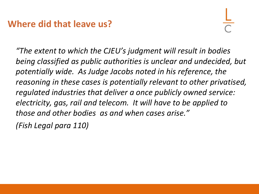#### **Where did that leave us?**

*"The extent to which the CJEU's judgment will result in bodies being classified as public authorities is unclear and undecided, but potentially wide. As Judge Jacobs noted in his reference, the reasoning in these cases is potentially relevant to other privatised, regulated industries that deliver a once publicly owned service: electricity, gas, rail and telecom. It will have to be applied to those and other bodies as and when cases arise."*

*(Fish Legal para 110)*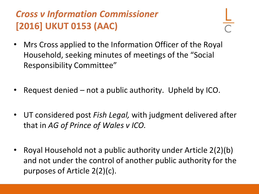#### *Cross v Information Commissioner*  **[2016] UKUT 0153 (AAC)**

- 
- Mrs Cross applied to the Information Officer of the Royal Household, seeking minutes of meetings of the "Social Responsibility Committee"
- Request denied not a public authority. Upheld by ICO.
- UT considered post *Fish Legal,* with judgment delivered after that in *AG of Prince of Wales v ICO.*
- Royal Household not a public authority under Article 2(2)(b) and not under the control of another public authority for the purposes of Article 2(2)(c).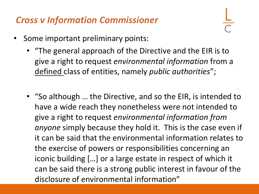#### *Cross v Information Commissioner*

- Some important preliminary points:
	- "The general approach of the Directive and the EIR is to give a right to request *environmental information* from a defined class of entities, namely *public authorities*";
	- "So although … the Directive, and so the EIR, is intended to have a wide reach they nonetheless were not intended to give a right to request *environmental information from anyone* simply because they hold it. This is the case even if it can be said that the environmental information relates to the exercise of powers or responsibilities concerning an iconic building […] or a large estate in respect of which it can be said there is a strong public interest in favour of the disclosure of environmental information"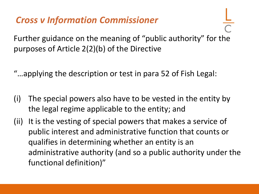#### *Cross v Information Commissioner*

Further guidance on the meaning of "public authority" for the purposes of Article 2(2)(b) of the Directive

- "…applying the description or test in para 52 of Fish Legal:
- (i) The special powers also have to be vested in the entity by the legal regime applicable to the entity; and
- (ii) It is the vesting of special powers that makes a service of public interest and administrative function that counts or qualifies in determining whether an entity is an administrative authority (and so a public authority under the functional definition)"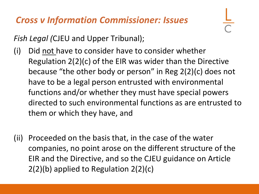#### *Cross v Information Commissioner: Issues*

*Fish Legal (*CJEU and Upper Tribunal);

- (i) Did not have to consider have to consider whether Regulation 2(2)(c) of the EIR was wider than the Directive because "the other body or person" in Reg 2(2)(c) does not have to be a legal person entrusted with environmental functions and/or whether they must have special powers directed to such environmental functions as are entrusted to them or which they have, and
- (ii) Proceeded on the basis that, in the case of the water companies, no point arose on the different structure of the EIR and the Directive, and so the CJEU guidance on Article 2(2)(b) applied to Regulation 2(2)(c)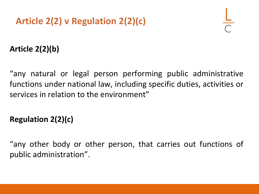#### **Article 2(2)(b)**

"any natural or legal person performing public administrative functions under national law, including specific duties, activities or services in relation to the environment"

#### **Regulation 2(2)(c)**

"any other body or other person, that carries out functions of public administration".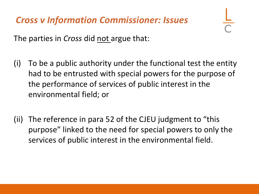#### *Cross v Information Commissioner: Issues*

The parties in *Cross* did not argue that:

- (i) To be a public authority under the functional test the entity had to be entrusted with special powers for the purpose of the performance of services of public interest in the environmental field; or
- (ii) The reference in para 52 of the CJEU judgment to "this purpose" linked to the need for special powers to only the services of public interest in the environmental field.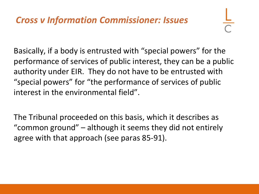Basically, if a body is entrusted with "special powers" for the performance of services of public interest, they can be a public authority under EIR. They do not have to be entrusted with "special powers" for "the performance of services of public interest in the environmental field".

The Tribunal proceeded on this basis, which it describes as "common ground" – although it seems they did not entirely agree with that approach (see paras 85-91).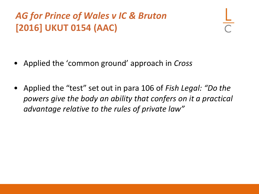#### *AG for Prince of Wales v IC & Bruton* **[2016] UKUT 0154 (AAC)**

- Applied the 'common ground' approach in *Cross*
- Applied the "test" set out in para 106 of *Fish Legal: "Do the powers give the body an ability that confers on it a practical advantage relative to the rules of private law"*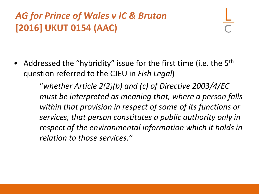#### *AG for Prince of Wales v IC & Bruton* **[2016] UKUT 0154 (AAC)**

• Addressed the "hybridity" issue for the first time (i.e. the  $5<sup>th</sup>$ question referred to the CJEU in *Fish Legal*)

> "*whether Article 2(2)(b) and (c) of Directive 2003/4/EC must be interpreted as meaning that, where a person falls within that provision in respect of some of its functions or services, that person constitutes a public authority only in respect of the environmental information which it holds in relation to those services."*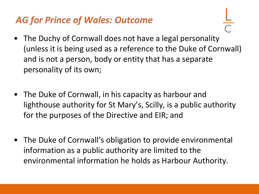#### *AG for Prince of Wales: Outcome*

- The Duchy of Cornwall does not have a legal personality (unless it is being used as a reference to the Duke of Cornwall) and is not a person, body or entity that has a separate personality of its own;
- The Duke of Cornwall, in his capacity as harbour and lighthouse authority for St Mary's, Scilly, is a public authority for the purposes of the Directive and EIR; and
- The Duke of Cornwall's obligation to provide environmental information as a public authority are limited to the environmental information he holds as Harbour Authority.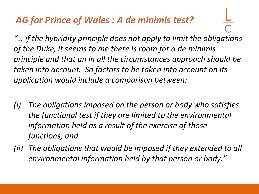#### *AG for Prince of Wales : A de minimis test?*

*"… if the hybridity principle does not apply to limit the obligations of the Duke, it seems to me there is room for a de minimis principle and that an in all the circumstances approach should be taken into account. So factors to be taken into account on its application would include a comparison between:*

- *(i) The obligations imposed on the person or body who satisfies the functional test if they are limited to the environmental information held as a result of the exercise of those functions; and*
- *(ii) The obligations that would be imposed if they extended to all environmental information held by that person or body."*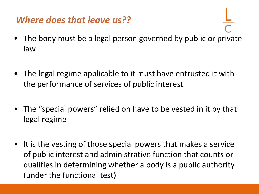#### *Where does that leave us??*

- The body must be a legal person governed by public or private law
- The legal regime applicable to it must have entrusted it with the performance of services of public interest
- The "special powers" relied on have to be vested in it by that legal regime
- It is the vesting of those special powers that makes a service of public interest and administrative function that counts or qualifies in determining whether a body is a public authority (under the functional test)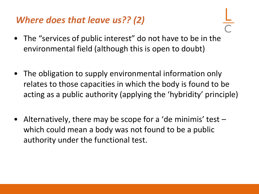#### *Where does that leave us?? (2)*

- The "services of public interest" do not have to be in the environmental field (although this is open to doubt)
- The obligation to supply environmental information only relates to those capacities in which the body is found to be acting as a public authority (applying the 'hybridity' principle)
- Alternatively, there may be scope for a 'de minimis' test which could mean a body was not found to be a public authority under the functional test.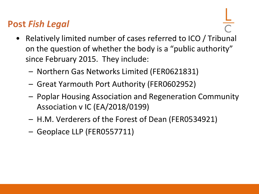#### **Post** *Fish Legal*

- Relatively limited number of cases referred to ICO / Tribunal on the question of whether the body is a "public authority" since February 2015. They include:
	- Northern Gas Networks Limited (FER0621831)
	- Great Yarmouth Port Authority (FER0602952)
	- Poplar Housing Association and Regeneration Community Association v IC (EA/2018/0199)
	- H.M. Verderers of the Forest of Dean (FER0534921)
	- Geoplace LLP (FER0557711)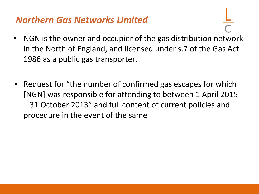#### *Northern Gas Networks Limited*

- NGN is the owner and occupier of the gas distribution network in the North of England, and licensed under s.7 of the Gas Act 1986 as a public gas transporter.
- Request for "the number of confirmed gas escapes for which [NGN] was responsible for attending to between 1 April 2015 – 31 October 2013" and full content of current policies and procedure in the event of the same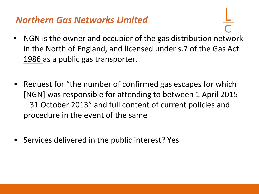#### *Northern Gas Networks Limited*

- NGN is the owner and occupier of the gas distribution network in the North of England, and licensed under s.7 of the Gas Act 1986 as a public gas transporter.
- Request for "the number of confirmed gas escapes for which [NGN] was responsible for attending to between 1 April 2015 – 31 October 2013" and full content of current policies and procedure in the event of the same
- Services delivered in the public interest? Yes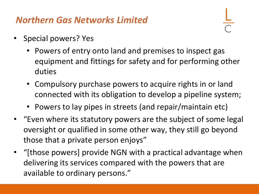#### *Northern Gas Networks Limited*

- Special powers? Yes
	- Powers of entry onto land and premises to inspect gas equipment and fittings for safety and for performing other duties
	- Compulsory purchase powers to acquire rights in or land connected with its obligation to develop a pipeline system;
	- Powers to lay pipes in streets (and repair/maintain etc)
- "Even where its statutory powers are the subject of some legal oversight or qualified in some other way, they still go beyond those that a private person enjoys"
- "[those powers] provide NGN with a practical advantage when delivering its services compared with the powers that are available to ordinary persons."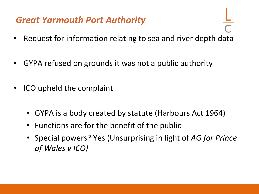#### *Great Yarmouth Port Authority*

- Request for information relating to sea and river depth data
- GYPA refused on grounds it was not a public authority
- ICO upheld the complaint
	- GYPA is a body created by statute (Harbours Act 1964)
	- Functions are for the benefit of the public
	- Special powers? Yes (Unsurprising in light of *AG for Prince of Wales v ICO)*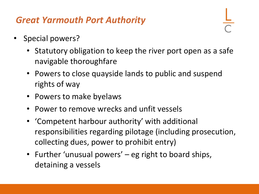#### *Great Yarmouth Port Authority*

- Special powers?
	- Statutory obligation to keep the river port open as a safe navigable thoroughfare
	- Powers to close quayside lands to public and suspend rights of way
	- Powers to make byelaws
	- Power to remove wrecks and unfit vessels
	- 'Competent harbour authority' with additional responsibilities regarding pilotage (including prosecution, collecting dues, power to prohibit entry)
	- Further 'unusual powers' eg right to board ships, detaining a vessels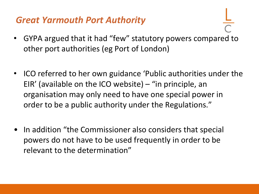#### *Great Yarmouth Port Authority*

- GYPA argued that it had "few" statutory powers compared to other port authorities (eg Port of London)
- ICO referred to her own guidance 'Public authorities under the EIR' (available on the ICO website) – "in principle, an organisation may only need to have one special power in order to be a public authority under the Regulations."
- In addition "the Commissioner also considers that special powers do not have to be used frequently in order to be relevant to the determination"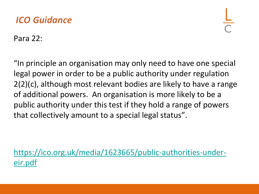#### *ICO Guidance*

Para 22:

"In principle an organisation may only need to have one special legal power in order to be a public authority under regulation 2(2)(c), although most relevant bodies are likely to have a range of additional powers. An organisation is more likely to be a public authority under this test if they hold a range of powers that collectively amount to a special legal status".

[https://ico.org.uk/media/1623665/public-authorities-under](https://ico.org.uk/media/1623665/public-authorities-under-eir.pdf)eir.pdf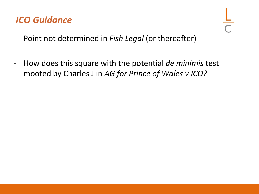#### *ICO Guidance*

- 
- Point not determined in *Fish Legal* (or thereafter)
- How does this square with the potential *de minimis* test mooted by Charles J in *AG for Prince of Wales v ICO?*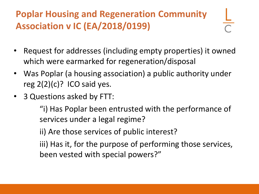#### **Poplar Housing and Regeneration Community Association v IC (EA/2018/0199)**

- Request for addresses (including empty properties) it owned which were earmarked for regeneration/disposal
- Was Poplar (a housing association) a public authority under reg  $2(2)(c)$ ? ICO said yes.
- 3 Questions asked by FTT:

"i) Has Poplar been entrusted with the performance of services under a legal regime?

ii) Are those services of public interest?

iii) Has it, for the purpose of performing those services, been vested with special powers?"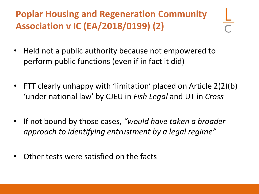**Poplar Housing and Regeneration Community Association v IC (EA/2018/0199) (2)**

- Held not a public authority because not empowered to perform public functions (even if in fact it did)
- FTT clearly unhappy with 'limitation' placed on Article 2(2)(b) 'under national law' by CJEU in *Fish Legal* and UT in *Cross*
- If not bound by those cases, *"would have taken a broader approach to identifying entrustment by a legal regime"*
- Other tests were satisfied on the facts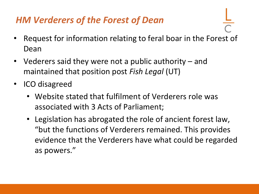#### *HM Verderers of the Forest of Dean*

- Request for information relating to feral boar in the Forest of Dean
- Vederers said they were not a public authority and maintained that position post *Fish Legal* (UT)
- ICO disagreed
	- Website stated that fulfilment of Verderers role was associated with 3 Acts of Parliament;
	- Legislation has abrogated the role of ancient forest law, "but the functions of Verderers remained. This provides evidence that the Verderers have what could be regarded as powers."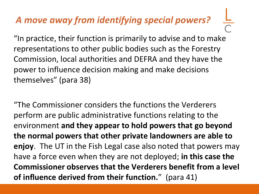#### *A move away from identifying special powers?*

"In practice, their function is primarily to advise and to make representations to other public bodies such as the Forestry Commission, local authorities and DEFRA and they have the power to influence decision making and make decisions themselves" (para 38)

"The Commissioner considers the functions the Verderers perform are public administrative functions relating to the environment **and they appear to hold powers that go beyond the normal powers that other private landowners are able to enjoy**. The UT in the Fish Legal case also noted that powers may have a force even when they are not deployed; **in this case the Commissioner observes that the Verderers benefit from a level of influence derived from their function.**" (para 41)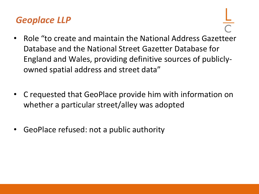#### *Geoplace LLP*

- Role "to create and maintain the National Address Gazetteer Database and the National Street Gazetter Database for England and Wales, providing definitive sources of publiclyowned spatial address and street data"
- C requested that GeoPlace provide him with information on whether a particular street/alley was adopted
- GeoPlace refused: not a public authority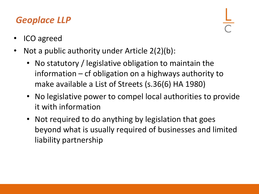#### *Geoplace LLP*

- ICO agreed
- Not a public authority under Article 2(2)(b):
	- No statutory / legislative obligation to maintain the information – cf obligation on a highways authority to make available a List of Streets (s.36(6) HA 1980)
	- No legislative power to compel local authorities to provide it with information
	- Not required to do anything by legislation that goes beyond what is usually required of businesses and limited liability partnership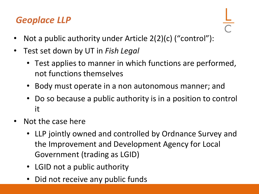#### *Geoplace LLP*

- Not a public authority under Article 2(2)(c) ("control"):
- Test set down by UT in *Fish Legal*
	- Test applies to manner in which functions are performed, not functions themselves
	- Body must operate in a non autonomous manner; and
	- Do so because a public authority is in a position to control it
- Not the case here
	- LLP jointly owned and controlled by Ordnance Survey and the Improvement and Development Agency for Local Government (trading as LGID)
	- LGID not a public authority
	- Did not receive any public funds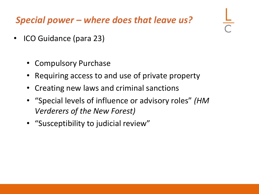*Special power – where does that leave us?*

- ICO Guidance (para 23)
	- Compulsory Purchase
	- Requiring access to and use of private property
	- Creating new laws and criminal sanctions
	- "Special levels of influence or advisory roles" *(HM Verderers of the New Forest)*
	- "Susceptibility to judicial review"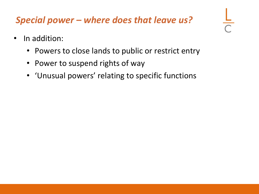#### *Special power – where does that leave us?*

- In addition:
	- Powers to close lands to public or restrict entry
	- Power to suspend rights of way
	- 'Unusual powers' relating to specific functions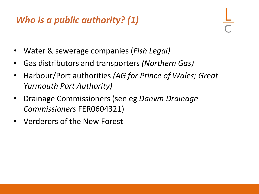#### *Who is a public authority? (1)*

- Water & sewerage companies (*Fish Legal)*
- Gas distributors and transporters *(Northern Gas)*
- Harbour/Port authorities *(AG for Prince of Wales; Great Yarmouth Port Authority)*
- Drainage Commissioners (see eg *Danvm Drainage Commissioners* FER0604321)
- Verderers of the New Forest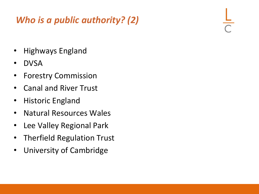#### *Who is a public authority? (2)*

- Highways England
- DVSA
- Forestry Commission
- Canal and River Trust
- Historic England
- Natural Resources Wales
- Lee Valley Regional Park
- Therfield Regulation Trust
- University of Cambridge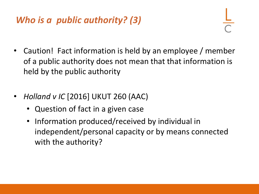#### *Who is a public authority? (3)*

- Caution! Fact information is held by an employee / member of a public authority does not mean that that information is held by the public authority
- *Holland v IC* [2016] UKUT 260 (AAC)
	- Question of fact in a given case
	- Information produced/received by individual in independent/personal capacity or by means connected with the authority?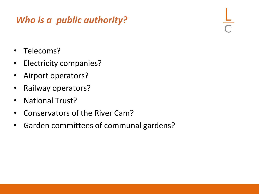#### *Who is a public authority?*

- Telecoms?
- Electricity companies?
- Airport operators?
- Railway operators?
- National Trust?
- Conservators of the River Cam?
- Garden committees of communal gardens?